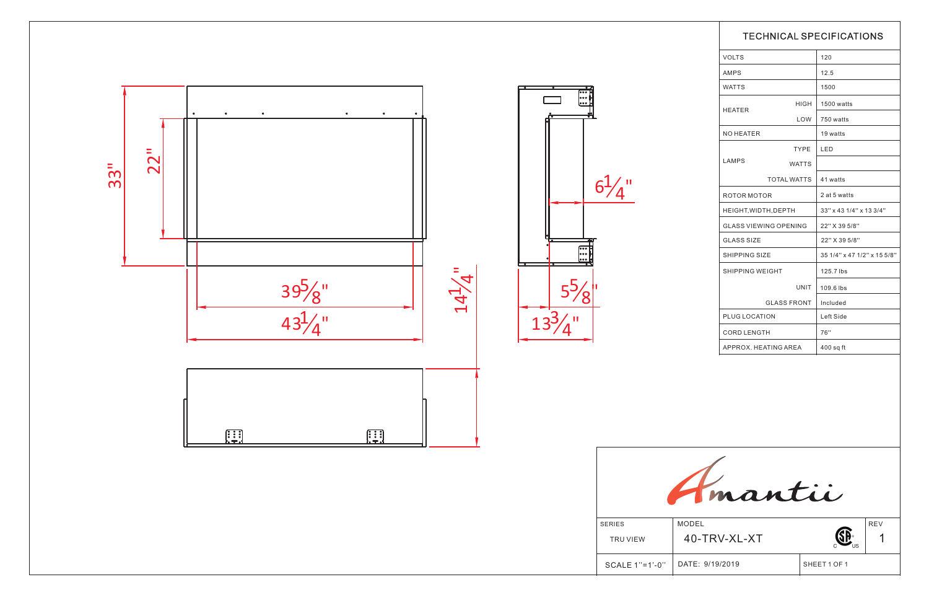

|                 | <b>TECHNICAL SPECIFICATIONS</b> |                             |              |  |
|-----------------|---------------------------------|-----------------------------|--------------|--|
|                 | <b>VOLTS</b>                    |                             | 120          |  |
|                 | <b>AMPS</b>                     |                             | 12.5         |  |
|                 | <b>WATTS</b>                    |                             | 1500         |  |
|                 |                                 | HIGH                        | 1500 watts   |  |
|                 | HEATER                          | LOW                         | 750 watts    |  |
|                 | <b>NO HEATER</b>                |                             | 19 watts     |  |
|                 |                                 | <b>TYPE</b>                 | <b>LED</b>   |  |
|                 | <b>LAMPS</b>                    | <b>WATTS</b>                |              |  |
|                 | <b>TOTAL WATTS</b>              |                             | 41 watts     |  |
|                 | ROTOR MOTOR                     | 2 at 5 watts                |              |  |
|                 | HEIGHT, WIDTH, DEPTH            | 33" x 43 1/4" x 13 3/4"     |              |  |
|                 | <b>GLASS VIEWING OPENING</b>    | 22" X 39 5/8"               |              |  |
|                 | <b>GLASS SIZE</b>               | 22" X 39 5/8"               |              |  |
|                 | <b>SHIPPING SIZE</b>            | 35 1/4" x 47 1/2" x 15 5/8" |              |  |
|                 | <b>SHIPPING WEIGHT</b>          |                             | 125.7 lbs    |  |
|                 |                                 | UNIT                        | 109.6 lbs    |  |
|                 | <b>GLASS FRONT</b>              |                             | Included     |  |
|                 | PLUG LOCATION                   | Left Side                   |              |  |
|                 | <b>CORD LENGTH</b>              |                             | 76"          |  |
|                 | APPROX. HEATING AREA            | $400$ sq ft                 |              |  |
|                 |                                 |                             |              |  |
|                 | antii                           |                             |              |  |
| MODEL           |                                 |                             | <b>REV</b>   |  |
|                 | 40-TRV-XL-XT                    |                             |              |  |
| DATE: 9/19/2019 |                                 |                             | SHEET 1 OF 1 |  |